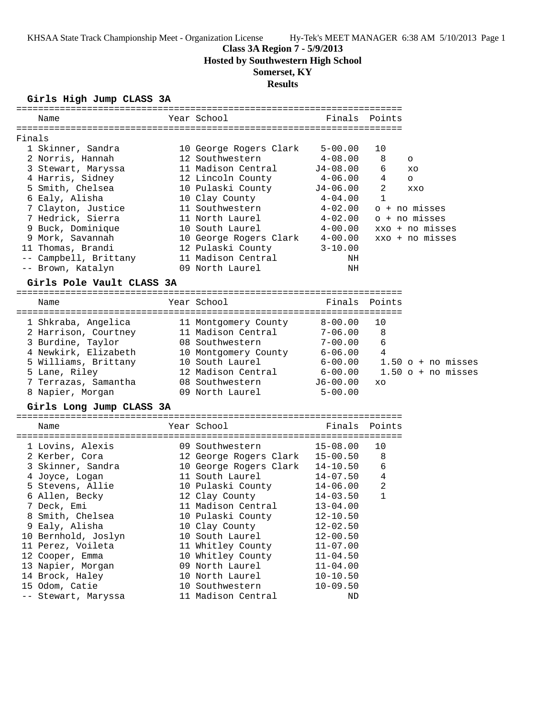### **Class 3A Region 7 - 5/9/2013**

**Hosted by Southwestern High School**

# **Somerset, KY**

### **Results**

### **Girls High Jump CLASS 3A**

|        | Name                      | Year School                    | Finals       | Points               |
|--------|---------------------------|--------------------------------|--------------|----------------------|
|        |                           |                                |              |                      |
| Finals |                           |                                |              |                      |
|        | 1 Skinner, Sandra         | 10 George Rogers Clark         | $5 - 00.00$  | 10                   |
|        | 2 Norris, Hannah          | 12 Southwestern                | $4 - 08.00$  | 8<br>O               |
|        | 3 Stewart, Maryssa        | 11 Madison Central             | $J4-08.00$   | 6<br>XO              |
|        | 4 Harris, Sidney          | 12 Lincoln County              | 4-06.00      | 4<br>$\circ$         |
|        | 5 Smith, Chelsea          | 10 Pulaski County              | $J4-06.00$   | 2<br>XXO             |
|        | 6 Ealy, Alisha            | 10 Clay County                 | 4-04.00      | 1                    |
|        | 7 Clayton, Justice        | 11 Southwestern                | $4 - 02.00$  | o + no misses        |
|        | 7 Hedrick, Sierra         | 11 North Laurel                | 4-02.00      | o + no misses        |
|        | 9 Buck, Dominique         | 10 South Laurel                | $4 - 00.00$  | xxo + no misses      |
|        | 9 Mork, Savannah          | 10 George Rogers Clark 4-00.00 |              | xxo + no misses      |
|        | 11 Thomas, Brandi         | 12 Pulaski County              | $3 - 10.00$  |                      |
|        | -- Campbell, Brittany     | 11 Madison Central             | NH           |                      |
|        | -- Brown, Katalyn         | 09 North Laurel                | ΝH           |                      |
|        | Girls Pole Vault CLASS 3A |                                |              |                      |
|        |                           |                                |              |                      |
|        | Name                      | Year School                    | Finals       | Points               |
|        | 1 Shkraba, Angelica       | 11 Montgomery County           | $8 - 00.00$  | 10                   |
|        | 2 Harrison, Courtney      | 11 Madison Central             | $7 - 06.00$  | 8                    |
|        | 3 Burdine, Taylor         | 08 Southwestern                | $7 - 00.00$  | 6                    |
|        | 4 Newkirk, Elizabeth      | 10 Montgomery County           | 6-06.00      | 4                    |
|        | 5 Williams, Brittany      | 10 South Laurel                | $6 - 00.00$  | $1.50$ o + no misses |
|        | 5 Lane, Riley             | 12 Madison Central             | $6 - 00.00$  | $1.50$ o + no misses |
|        | 7 Terrazas, Samantha      | 08 Southwestern                | $J6 - 00.00$ | XO                   |
|        | 8 Napier, Morgan          | 09 North Laurel                | $5 - 00.00$  |                      |
|        |                           |                                |              |                      |
|        | Girls Long Jump CLASS 3A  |                                |              |                      |
|        | Name                      | Year School                    | Finals       | Points               |
|        |                           |                                |              |                      |
|        | 1 Lovins, Alexis          | 09 Southwestern                | $15 - 08.00$ | 10                   |
|        | 2 Kerber, Cora            | 12 George Rogers Clark         | $15 - 00.50$ | 8                    |
|        | 3 Skinner, Sandra         | 10 George Rogers Clark         | 14-10.50     | 6                    |
|        | 4 Joyce, Logan            | 11 South Laurel                | 14-07.50     | $\overline{4}$       |
|        | 5 Stevens, Allie          | 10 Pulaski County              | 14-06.00     | 2                    |
|        | 6 Allen, Becky            | 12 Clay County                 | $14 - 03.50$ | $\mathbf{1}$         |
|        | 7 Deck, Emi               | 11 Madison Central             | $13 - 04.00$ |                      |
|        | 8 Smith, Chelsea          | 10 Pulaski County              | $12 - 10.50$ |                      |
|        | 9 Ealy, Alisha            | 10 Clay County                 | $12 - 02.50$ |                      |
|        | 10 Bernhold, Joslyn       | 10 South Laurel                | $12 - 00.50$ |                      |
|        | 11 Perez, Voileta         | 11 Whitley County              | $11 - 07.00$ |                      |
|        | 12 Cooper, Emma           | 10 Whitley County              | $11 - 04.50$ |                      |
|        | 13 Napier, Morgan         | 09 North Laurel                | $11 - 04.00$ |                      |
|        | 14 Brock, Haley           | 10 North Laurel                | $10 - 10.50$ |                      |
|        | 15 Odom, Catie            | 10 Southwestern                | $10 - 09.50$ |                      |
|        | -- Stewart, Maryssa       | 11 Madison Central             | ΝD           |                      |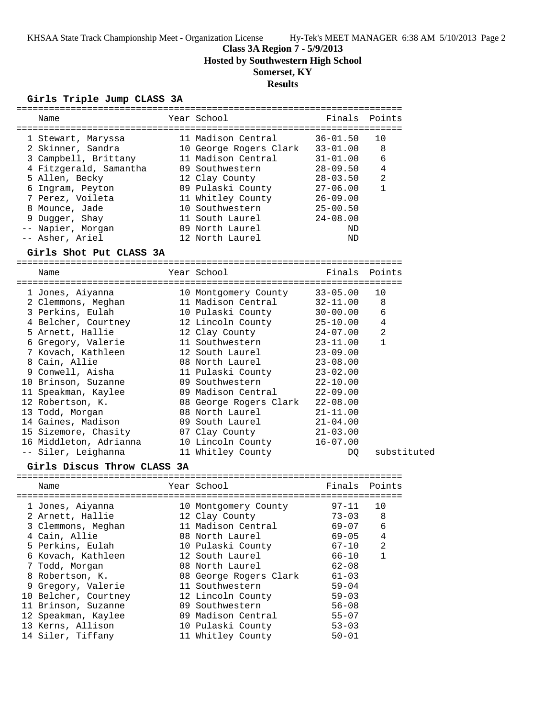**Class 3A Region 7 - 5/9/2013**

**Hosted by Southwestern High School**

## **Somerset, KY**

### **Results**

# **Girls Triple Jump CLASS 3A**

|                             |                        | $36 - 01.50$                                                                                                                                                                                                                                                                                                                                                                                                                                                                                                                                                                                                                                                                                                                                                    | 10                                                                                                                                                                                                                                                                                                                                                                                                                                                                                                                                                                                        |
|-----------------------------|------------------------|-----------------------------------------------------------------------------------------------------------------------------------------------------------------------------------------------------------------------------------------------------------------------------------------------------------------------------------------------------------------------------------------------------------------------------------------------------------------------------------------------------------------------------------------------------------------------------------------------------------------------------------------------------------------------------------------------------------------------------------------------------------------|-------------------------------------------------------------------------------------------------------------------------------------------------------------------------------------------------------------------------------------------------------------------------------------------------------------------------------------------------------------------------------------------------------------------------------------------------------------------------------------------------------------------------------------------------------------------------------------------|
|                             |                        | $33 - 01.00$                                                                                                                                                                                                                                                                                                                                                                                                                                                                                                                                                                                                                                                                                                                                                    | 8                                                                                                                                                                                                                                                                                                                                                                                                                                                                                                                                                                                         |
|                             |                        | $31 - 01.00$                                                                                                                                                                                                                                                                                                                                                                                                                                                                                                                                                                                                                                                                                                                                                    | 6                                                                                                                                                                                                                                                                                                                                                                                                                                                                                                                                                                                         |
|                             |                        | $28 - 09.50$                                                                                                                                                                                                                                                                                                                                                                                                                                                                                                                                                                                                                                                                                                                                                    | 4                                                                                                                                                                                                                                                                                                                                                                                                                                                                                                                                                                                         |
|                             |                        |                                                                                                                                                                                                                                                                                                                                                                                                                                                                                                                                                                                                                                                                                                                                                                 | 2                                                                                                                                                                                                                                                                                                                                                                                                                                                                                                                                                                                         |
|                             |                        |                                                                                                                                                                                                                                                                                                                                                                                                                                                                                                                                                                                                                                                                                                                                                                 | $\mathbf{1}$                                                                                                                                                                                                                                                                                                                                                                                                                                                                                                                                                                              |
|                             |                        |                                                                                                                                                                                                                                                                                                                                                                                                                                                                                                                                                                                                                                                                                                                                                                 |                                                                                                                                                                                                                                                                                                                                                                                                                                                                                                                                                                                           |
|                             |                        |                                                                                                                                                                                                                                                                                                                                                                                                                                                                                                                                                                                                                                                                                                                                                                 |                                                                                                                                                                                                                                                                                                                                                                                                                                                                                                                                                                                           |
|                             |                        |                                                                                                                                                                                                                                                                                                                                                                                                                                                                                                                                                                                                                                                                                                                                                                 |                                                                                                                                                                                                                                                                                                                                                                                                                                                                                                                                                                                           |
|                             |                        |                                                                                                                                                                                                                                                                                                                                                                                                                                                                                                                                                                                                                                                                                                                                                                 |                                                                                                                                                                                                                                                                                                                                                                                                                                                                                                                                                                                           |
|                             |                        |                                                                                                                                                                                                                                                                                                                                                                                                                                                                                                                                                                                                                                                                                                                                                                 |                                                                                                                                                                                                                                                                                                                                                                                                                                                                                                                                                                                           |
| Girls Shot Put CLASS 3A     |                        |                                                                                                                                                                                                                                                                                                                                                                                                                                                                                                                                                                                                                                                                                                                                                                 |                                                                                                                                                                                                                                                                                                                                                                                                                                                                                                                                                                                           |
|                             |                        |                                                                                                                                                                                                                                                                                                                                                                                                                                                                                                                                                                                                                                                                                                                                                                 | Points                                                                                                                                                                                                                                                                                                                                                                                                                                                                                                                                                                                    |
|                             |                        |                                                                                                                                                                                                                                                                                                                                                                                                                                                                                                                                                                                                                                                                                                                                                                 |                                                                                                                                                                                                                                                                                                                                                                                                                                                                                                                                                                                           |
|                             |                        | $33 - 05.00$                                                                                                                                                                                                                                                                                                                                                                                                                                                                                                                                                                                                                                                                                                                                                    | 10                                                                                                                                                                                                                                                                                                                                                                                                                                                                                                                                                                                        |
|                             |                        | $32 - 11.00$                                                                                                                                                                                                                                                                                                                                                                                                                                                                                                                                                                                                                                                                                                                                                    | 8                                                                                                                                                                                                                                                                                                                                                                                                                                                                                                                                                                                         |
|                             |                        | $30 - 00.00$                                                                                                                                                                                                                                                                                                                                                                                                                                                                                                                                                                                                                                                                                                                                                    | 6                                                                                                                                                                                                                                                                                                                                                                                                                                                                                                                                                                                         |
| 4 Belcher, Courtney         |                        |                                                                                                                                                                                                                                                                                                                                                                                                                                                                                                                                                                                                                                                                                                                                                                 | 4                                                                                                                                                                                                                                                                                                                                                                                                                                                                                                                                                                                         |
|                             |                        |                                                                                                                                                                                                                                                                                                                                                                                                                                                                                                                                                                                                                                                                                                                                                                 | $\overline{2}$                                                                                                                                                                                                                                                                                                                                                                                                                                                                                                                                                                            |
|                             |                        |                                                                                                                                                                                                                                                                                                                                                                                                                                                                                                                                                                                                                                                                                                                                                                 | $\mathbf{1}$                                                                                                                                                                                                                                                                                                                                                                                                                                                                                                                                                                              |
|                             |                        |                                                                                                                                                                                                                                                                                                                                                                                                                                                                                                                                                                                                                                                                                                                                                                 |                                                                                                                                                                                                                                                                                                                                                                                                                                                                                                                                                                                           |
|                             |                        |                                                                                                                                                                                                                                                                                                                                                                                                                                                                                                                                                                                                                                                                                                                                                                 |                                                                                                                                                                                                                                                                                                                                                                                                                                                                                                                                                                                           |
|                             |                        |                                                                                                                                                                                                                                                                                                                                                                                                                                                                                                                                                                                                                                                                                                                                                                 |                                                                                                                                                                                                                                                                                                                                                                                                                                                                                                                                                                                           |
|                             |                        |                                                                                                                                                                                                                                                                                                                                                                                                                                                                                                                                                                                                                                                                                                                                                                 |                                                                                                                                                                                                                                                                                                                                                                                                                                                                                                                                                                                           |
|                             |                        |                                                                                                                                                                                                                                                                                                                                                                                                                                                                                                                                                                                                                                                                                                                                                                 |                                                                                                                                                                                                                                                                                                                                                                                                                                                                                                                                                                                           |
|                             |                        |                                                                                                                                                                                                                                                                                                                                                                                                                                                                                                                                                                                                                                                                                                                                                                 |                                                                                                                                                                                                                                                                                                                                                                                                                                                                                                                                                                                           |
|                             |                        |                                                                                                                                                                                                                                                                                                                                                                                                                                                                                                                                                                                                                                                                                                                                                                 |                                                                                                                                                                                                                                                                                                                                                                                                                                                                                                                                                                                           |
|                             |                        |                                                                                                                                                                                                                                                                                                                                                                                                                                                                                                                                                                                                                                                                                                                                                                 |                                                                                                                                                                                                                                                                                                                                                                                                                                                                                                                                                                                           |
|                             |                        |                                                                                                                                                                                                                                                                                                                                                                                                                                                                                                                                                                                                                                                                                                                                                                 |                                                                                                                                                                                                                                                                                                                                                                                                                                                                                                                                                                                           |
|                             |                        |                                                                                                                                                                                                                                                                                                                                                                                                                                                                                                                                                                                                                                                                                                                                                                 |                                                                                                                                                                                                                                                                                                                                                                                                                                                                                                                                                                                           |
|                             |                        |                                                                                                                                                                                                                                                                                                                                                                                                                                                                                                                                                                                                                                                                                                                                                                 | substituted                                                                                                                                                                                                                                                                                                                                                                                                                                                                                                                                                                               |
| Girls Discus Throw CLASS 3A |                        |                                                                                                                                                                                                                                                                                                                                                                                                                                                                                                                                                                                                                                                                                                                                                                 |                                                                                                                                                                                                                                                                                                                                                                                                                                                                                                                                                                                           |
|                             |                        |                                                                                                                                                                                                                                                                                                                                                                                                                                                                                                                                                                                                                                                                                                                                                                 | Points                                                                                                                                                                                                                                                                                                                                                                                                                                                                                                                                                                                    |
|                             |                        |                                                                                                                                                                                                                                                                                                                                                                                                                                                                                                                                                                                                                                                                                                                                                                 |                                                                                                                                                                                                                                                                                                                                                                                                                                                                                                                                                                                           |
|                             |                        |                                                                                                                                                                                                                                                                                                                                                                                                                                                                                                                                                                                                                                                                                                                                                                 | 10                                                                                                                                                                                                                                                                                                                                                                                                                                                                                                                                                                                        |
|                             |                        |                                                                                                                                                                                                                                                                                                                                                                                                                                                                                                                                                                                                                                                                                                                                                                 | 8                                                                                                                                                                                                                                                                                                                                                                                                                                                                                                                                                                                         |
|                             |                        |                                                                                                                                                                                                                                                                                                                                                                                                                                                                                                                                                                                                                                                                                                                                                                 | 6                                                                                                                                                                                                                                                                                                                                                                                                                                                                                                                                                                                         |
|                             |                        |                                                                                                                                                                                                                                                                                                                                                                                                                                                                                                                                                                                                                                                                                                                                                                 | 4                                                                                                                                                                                                                                                                                                                                                                                                                                                                                                                                                                                         |
|                             |                        | $67 - 10$                                                                                                                                                                                                                                                                                                                                                                                                                                                                                                                                                                                                                                                                                                                                                       | 2                                                                                                                                                                                                                                                                                                                                                                                                                                                                                                                                                                                         |
|                             |                        | $66 - 10$                                                                                                                                                                                                                                                                                                                                                                                                                                                                                                                                                                                                                                                                                                                                                       | $\mathbf 1$                                                                                                                                                                                                                                                                                                                                                                                                                                                                                                                                                                               |
|                             |                        | $62 - 08$                                                                                                                                                                                                                                                                                                                                                                                                                                                                                                                                                                                                                                                                                                                                                       |                                                                                                                                                                                                                                                                                                                                                                                                                                                                                                                                                                                           |
|                             |                        | $61 - 03$                                                                                                                                                                                                                                                                                                                                                                                                                                                                                                                                                                                                                                                                                                                                                       |                                                                                                                                                                                                                                                                                                                                                                                                                                                                                                                                                                                           |
|                             |                        | $59 - 04$                                                                                                                                                                                                                                                                                                                                                                                                                                                                                                                                                                                                                                                                                                                                                       |                                                                                                                                                                                                                                                                                                                                                                                                                                                                                                                                                                                           |
|                             |                        | $59 - 03$                                                                                                                                                                                                                                                                                                                                                                                                                                                                                                                                                                                                                                                                                                                                                       |                                                                                                                                                                                                                                                                                                                                                                                                                                                                                                                                                                                           |
|                             |                        | $56 - 08$                                                                                                                                                                                                                                                                                                                                                                                                                                                                                                                                                                                                                                                                                                                                                       |                                                                                                                                                                                                                                                                                                                                                                                                                                                                                                                                                                                           |
|                             |                        | $55 - 07$                                                                                                                                                                                                                                                                                                                                                                                                                                                                                                                                                                                                                                                                                                                                                       |                                                                                                                                                                                                                                                                                                                                                                                                                                                                                                                                                                                           |
|                             |                        |                                                                                                                                                                                                                                                                                                                                                                                                                                                                                                                                                                                                                                                                                                                                                                 |                                                                                                                                                                                                                                                                                                                                                                                                                                                                                                                                                                                           |
|                             |                        | $50 - 01$                                                                                                                                                                                                                                                                                                                                                                                                                                                                                                                                                                                                                                                                                                                                                       |                                                                                                                                                                                                                                                                                                                                                                                                                                                                                                                                                                                           |
|                             | 16 Middleton, Adrianna | Year School<br>11 Madison Central<br>11 Madison Central<br>09 Southwestern<br>12 Clay County<br>09 Pulaski County<br>11 Whitley County<br>09 North Laurel<br>12 North Laurel<br>Year School<br>10 Montgomery County<br>11 Madison Central<br>10 Pulaski County<br>11 Southwestern<br>12 South Laurel<br>08 North Laurel<br>09 Southwestern<br>09 Madison Central<br>08 North Laurel<br>09 South Laurel<br>07 Clay County<br>11 Whitley County<br>Year School<br>10 Montgomery County<br>12 Clay County<br>11 Madison Central<br>08 North Laurel<br>10 Pulaski County<br>12 South Laurel<br>08 North Laurel<br>08 George Rogers Clark<br>11 Southwestern<br>12 Lincoln County<br>09 Southwestern<br>09 Madison Central<br>10 Pulaski County<br>11 Whitley County | Finals Points<br>10 George Rogers Clark<br>$28 - 03.50$<br>$27 - 06.00$<br>$26 - 09.00$<br>10 Southwestern<br>$25 - 00.50$<br>11 South Laurel<br>$24 - 08.00$<br>ND<br>ND<br>Finals<br>12 Lincoln County 25-10.00<br>12 Clay County<br>$24 - 07.00$<br>$23 - 11.00$<br>$23 - 09.00$<br>$23 - 08.00$<br>11 Pulaski County<br>$23 - 02.00$<br>$22 - 10.00$<br>$22 - 09.00$<br>$22 - 08.00$<br>08 George Rogers Clark<br>$21 - 11.00$<br>$21 - 04.00$<br>$21 - 03.00$<br>10 Lincoln County<br>$16 - 07.00$<br>DQ.<br>Finals<br>$97 - 11$<br>$73 - 03$<br>$69 - 07$<br>$69 - 05$<br>$53 - 03$ |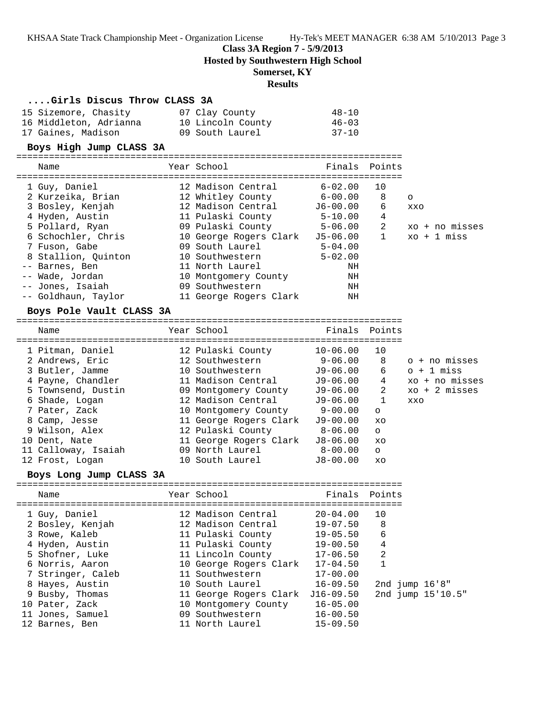#### **Class 3A Region 7 - 5/9/2013**

**Hosted by Southwestern High School**

### **Somerset, KY**

### **Results**

#### **....Girls Discus Throw CLASS 3A**

| 15 Sizemore, Chasity   | 07 Clay County    | 48-10     |
|------------------------|-------------------|-----------|
| 16 Middleton, Adrianna | 10 Lincoln County | $46 - 03$ |
| 17 Gaines, Madison     | 09 South Laurel   | $37 - 10$ |

#### **Boys High Jump CLASS 3A**

| Name                | Year School            | Finals Points |              |                |
|---------------------|------------------------|---------------|--------------|----------------|
| 1 Guy, Daniel       | 12 Madison Central     | $6 - 02.00$   | 10           |                |
| 2 Kurzeika, Brian   | 12 Whitley County      | 6-00.00       | 8            | $\circ$        |
| 3 Bosley, Kenjah    | 12 Madison Central     | J6-00.00      | 6            | XXO            |
| 4 Hyden, Austin     | 11 Pulaski County      | $5 - 10.00$   | 4            |                |
| 5 Pollard, Ryan     | 09 Pulaski County      | $5 - 06.00$   | 2            | xo + no misses |
| 6 Schochler, Chris  | 10 George Rogers Clark | $J5-06.00$    | $\mathbf{1}$ | $xo + 1$ miss  |
| 7 Fuson, Gabe       | 09 South Laurel        | $5 - 04.00$   |              |                |
| 8 Stallion, Ouinton | 10 Southwestern        | $5 - 02.00$   |              |                |
| -- Barnes, Ben      | 11 North Laurel        | NH            |              |                |
| -- Wade, Jordan     | 10 Montgomery County   | ΝH            |              |                |
| -- Jones, Isaiah    | 09 Southwestern        | ΝH            |              |                |
| -- Goldhaun, Taylor | 11 George Rogers Clark | ΝH            |              |                |
|                     |                        |               |              |                |

#### **Boys Pole Vault CLASS 3A**

======================================================================= Name Year School Finals Points

| 1 Pitman, Daniel    | 12 Pulaski County      | $10 - 06.00$ | 10      |                         |
|---------------------|------------------------|--------------|---------|-------------------------|
| 2 Andrews, Eric     | 12 Southwestern        | $9 - 06.00$  | 8       | o + no misses           |
| 3 Butler, Jamme     | 10 Southwestern        | $J9-06.00$   | 6       | $\circ$ + 1 miss        |
| 4 Payne, Chandler   | 11 Madison Central     | $J9-06.00$   | 4       | xo + no misses          |
| 5 Townsend, Dustin  | 09 Montgomery County   | J9-06.00     | 2       | $xo + 2 \text{ misses}$ |
| 6 Shade, Logan      | 12 Madison Central     | J9-06.00     |         | XXO                     |
| 7 Pater, Zack       | 10 Montgomery County   | 9-00.00      | $\circ$ |                         |
| 8 Camp, Jesse       | 11 George Rogers Clark | J9-00.00     | XO      |                         |
| 9 Wilson, Alex      | 12 Pulaski County      | 8-06.00      | $\circ$ |                         |
| 10 Dent, Nate       | 11 George Rogers Clark | $J8 - 06.00$ | XO      |                         |
| 11 Calloway, Isaiah | 09 North Laurel        | 8-00.00      | $\circ$ |                         |
| 12 Frost, Logan     | 10 South Laurel        | $J8 - 00.00$ | XO      |                         |

#### **Boys Long Jump CLASS 3A**

======================================================================= Name The Year School The Finals Points ======================================================================= 1 Guy, Daniel 12 Madison Central 20-04.00 10 2 Bosley, Kenjah 12 Madison Central 19-07.50 8 3 Rowe, Kaleb 11 Pulaski County 19-05.50 6 4 Hyden, Austin 11 Pulaski County 19-00.50 4 5 Shofner, Luke 11 Lincoln County 17-06.50 2 6 Norris, Aaron 10 George Rogers Clark 17-04.50 1 7 Stringer, Caleb 11 Southwestern 17-00.00 8 Hayes, Austin 10 South Laurel 16-09.50 2nd jump 16'8" 9 Busby, Thomas 11 George Rogers Clark J16-09.50 2nd jump 15'10.5" 10 Pater, Zack 10 Montgomery County 16-05.00 11 Jones, Samuel 09 Southwestern 16-00.50 12 Barnes, Ben 11 North Laurel 15-09.50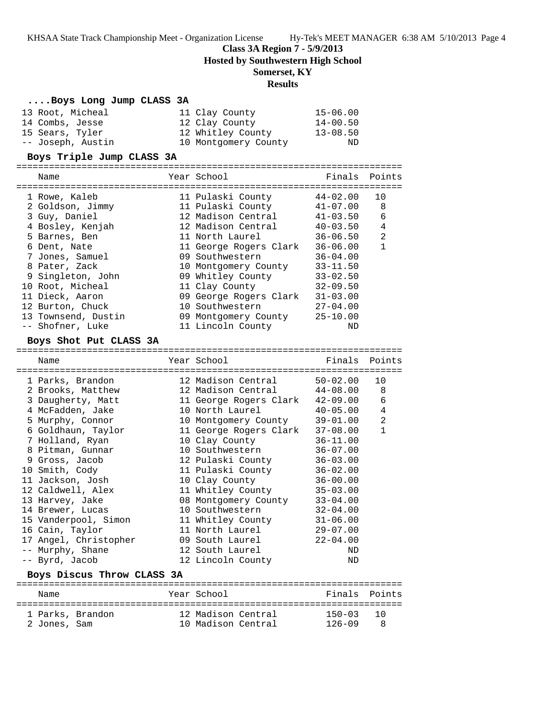**Class 3A Region 7 - 5/9/2013**

**Hosted by Southwestern High School**

### **Somerset, KY**

### **Results**

| Boys Long Jump CLASS 3A    |                        |              |               |
|----------------------------|------------------------|--------------|---------------|
| 13 Root, Micheal           | 11 Clay County         | $15 - 06.00$ |               |
| 14 Combs, Jesse            | 12 Clay County         | $14 - 00.50$ |               |
| 15 Sears, Tyler            | 12 Whitley County      | $13 - 08.50$ |               |
| -- Joseph, Austin          | 10 Montgomery County   | ND           |               |
| Boys Triple Jump CLASS 3A  |                        |              |               |
|                            |                        |              |               |
| Name                       | Year School            | Finals       | Points        |
| 1 Rowe, Kaleb              | 11 Pulaski County      | $44 - 02.00$ | 10            |
| 2 Goldson, Jimmy           | 11 Pulaski County      | $41 - 07.00$ | 8             |
| 3 Guy, Daniel              | 12 Madison Central     | $41 - 03.50$ | 6             |
| 4 Bosley, Kenjah           | 12 Madison Central     | $40 - 03.50$ | 4             |
| 5 Barnes, Ben              | 11 North Laurel        | $36 - 06.50$ | 2             |
| 6 Dent, Nate               | 11 George Rogers Clark | $36 - 06.00$ | $\mathbf{1}$  |
| 7 Jones, Samuel            | 09 Southwestern        | $36 - 04.00$ |               |
| 8 Pater, Zack              | 10 Montgomery County   | $33 - 11.50$ |               |
| 9 Singleton, John          | 09 Whitley County      | $33 - 02.50$ |               |
| 10 Root, Micheal           | 11 Clay County         | $32 - 09.50$ |               |
| 11 Dieck, Aaron            | 09 George Rogers Clark | $31 - 03.00$ |               |
| 12 Burton, Chuck           | 10 Southwestern        | $27 - 04.00$ |               |
| 13 Townsend, Dustin        | 09 Montgomery County   | $25 - 10.00$ |               |
| -- Shofner, Luke           | 11 Lincoln County      | ND           |               |
| Boys Shot Put CLASS 3A     |                        |              |               |
|                            |                        |              |               |
|                            |                        |              |               |
| Name                       | Year School            |              | Finals Points |
| 1 Parks, Brandon           | 12 Madison Central     | $50 - 02.00$ | 10            |
| 2 Brooks, Matthew          | 12 Madison Central     | 44-08.00     | 8             |
| 3 Daugherty, Matt          | 11 George Rogers Clark | 42-09.00     | 6             |
| 4 McFadden, Jake           | 10 North Laurel        | $40 - 05.00$ | 4             |
| 5 Murphy, Connor           | 10 Montgomery County   | $39 - 01.00$ | 2             |
| 6 Goldhaun, Taylor         | 11 George Rogers Clark | $37 - 08.00$ | $\mathbf{1}$  |
| 7 Holland, Ryan            | 10 Clay County         | $36 - 11.00$ |               |
| 8 Pitman, Gunnar           | 10 Southwestern        | $36 - 07.00$ |               |
| 9 Gross, Jacob             | 12 Pulaski County      | $36 - 03.00$ |               |
| 10 Smith, Cody             | 11 Pulaski County      | $36 - 02.00$ |               |
| 11 Jackson, Josh           | 10 Clay County         | $36 - 00.00$ |               |
| 12 Caldwell, Alex          | 11 Whitley County      | $35 - 03.00$ |               |
| 13 Harvey, Jake            | 08 Montgomery County   | $33 - 04.00$ |               |
| 14 Brewer, Lucas           | 10 Southwestern        | $32 - 04.00$ |               |
| 15 Vanderpool, Simon       | 11 Whitley County      | $31 - 06.00$ |               |
| 16 Cain, Taylor            | 11 North Laurel        | $29 - 07.00$ |               |
| 17 Angel, Christopher      | 09 South Laurel        | $22 - 04.00$ |               |
| -- Murphy, Shane           | 12 South Laurel        | ND           |               |
| -- Byrd, Jacob             | 12 Lincoln County      | ND           |               |
| Boys Discus Throw CLASS 3A |                        |              |               |

======================================================================= 1 Parks, Brandon 12 Madison Central 150-03 10 2 Jones, Sam 10 Madison Central 126-09 8